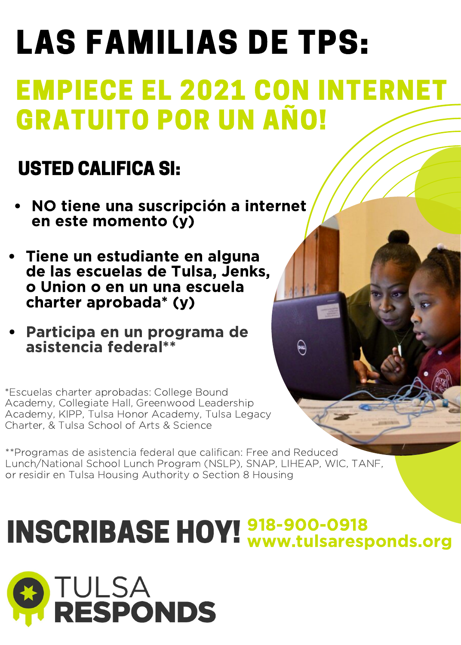## LAS FAMILIAS DE TPS: EMPIECE EL 2021 CON INTERNET GRATUITO POR UN AÑO!

### USTED CALIFICA SI:

- NO tiene una suscripción a internet en este momento (y)
- Tiene un estudiante en alguna de las escuelas de Tulsa, Jenks, o Union o en un una escuela charter aprobada\* (y)
- Participa en un programa de asistencia federal\*\*

\*Escuelas charter aprobadas: College Bound Academy, Collegiate Hall, Greenwood Leadership Academy, KIPP, Tulsa Honor Academy, Tulsa Legacy Charter, & Tulsa School of Arts & Science

\*\*Programas de asistencia federal que califican: Free and Reduced Lunch/National School Lunch Program (NSLP), SNAP, LIHEAP, WIC, TANF, or residir en Tulsa Housing Authority o Section 8 Housing

#### INSCRIBASE HOY! 218-900-0918 www.tulsaresponds.org

 $\widehat{\mathbb{R}}$